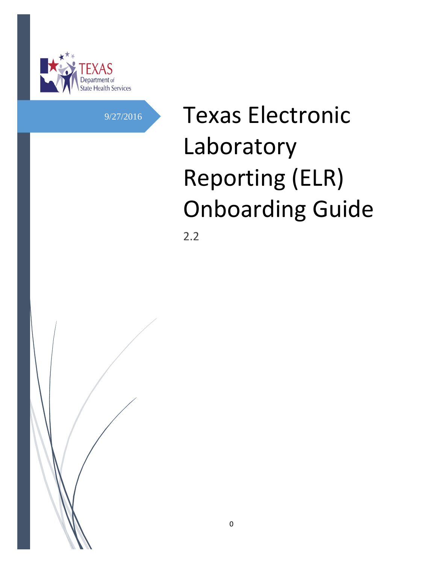

# 9/27/2016 **Texas Electronic** Laboratory Reporting (ELR) Onboarding Guide

2.2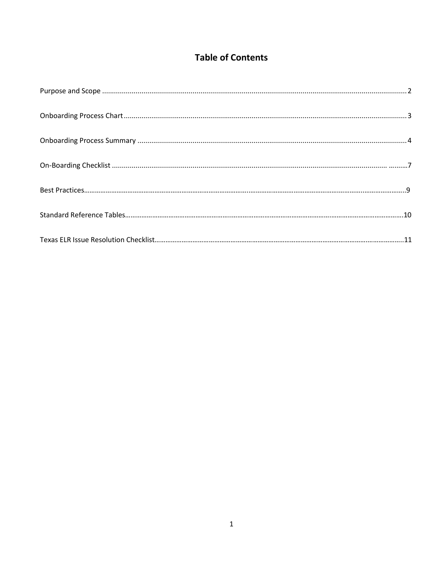# **Table of Contents**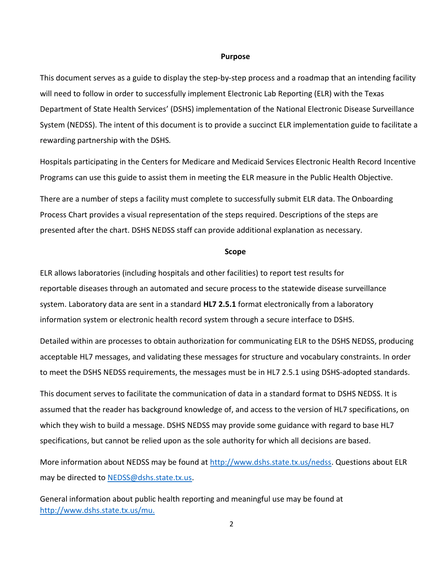#### **Purpose**

This document serves as a guide to display the step-by-step process and a roadmap that an intending facility will need to follow in order to successfully implement Electronic Lab Reporting (ELR) with the Texas Department of State Health Services' (DSHS) implementation of the National Electronic Disease Surveillance System (NEDSS). The intent of this document is to provide a succinct ELR implementation guide to facilitate a rewarding partnership with the DSHS*.*

Hospitals participating in the Centers for Medicare and Medicaid Services Electronic Health Record Incentive Programs can use this guide to assist them in meeting the ELR measure in the Public Health Objective.

There are a number of steps a facility must complete to successfully submit ELR data. The Onboarding Process Chart provides a visual representation of the steps required. Descriptions of the steps are presented after the chart. DSHS NEDSS staff can provide additional explanation as necessary.

#### **Scope**

ELR allows laboratories (including hospitals and other facilities) to report test results for reportable diseases through an automated and secure process to the statewide disease surveillance system. Laboratory data are sent in a standard **HL7 2.5.1** format electronically from a laboratory information system or electronic health record system through a secure interface to DSHS.

Detailed within are processes to obtain authorization for communicating ELR to the DSHS NEDSS, producing acceptable HL7 messages, and validating these messages for structure and vocabulary constraints. In order to meet the DSHS NEDSS requirements, the messages must be in HL7 2.5.1 using DSHS-adopted standards.

This document serves to facilitate the communication of data in a standard format to DSHS NEDSS. It is assumed that the reader has background knowledge of, and access to the version of HL7 specifications, on which they wish to build a message. DSHS NEDSS may provide some guidance with regard to base HL7 specifications, but cannot be relied upon as the sole authority for which all decisions are based.

More information about NEDSS may be found at [http://www.dshs.state.tx.us/nedss.](http://www.dshs.state.tx.us/nedss) Questions about ELR may be directed to [NEDSS@dshs.state.tx.us.](mailto:NEDSS@dshs.state.tx.us)

General information about public health reporting and meaningful use may be found at [http://www.dshs.state.tx.us/mu.](http://www.dshs.state.tx.us/mu)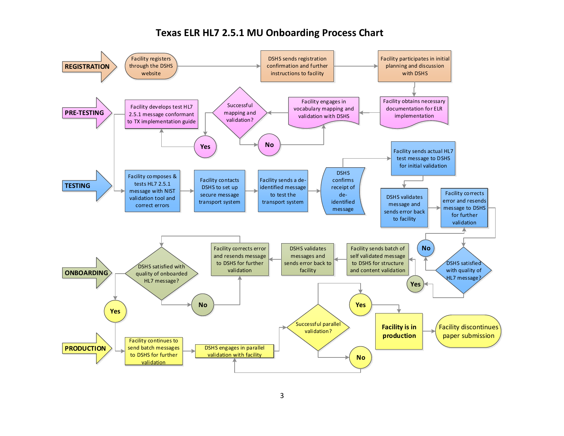#### **Texas ELR HL7 2.5.1 MU Onboarding Process Chart**

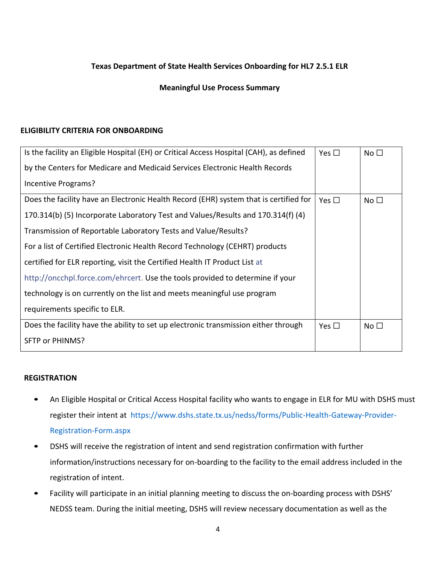#### **Texas Department of State Health Services Onboarding for HL7 2.5.1 ELR**

#### **Meaningful Use Process Summary**

#### **ELIGIBILITY CRITERIA FOR ONBOARDING**

| Is the facility an Eligible Hospital (EH) or Critical Access Hospital (CAH), as defined | Yes $\square$ | No $\square$ |
|-----------------------------------------------------------------------------------------|---------------|--------------|
| by the Centers for Medicare and Medicaid Services Electronic Health Records             |               |              |
| Incentive Programs?                                                                     |               |              |
| Does the facility have an Electronic Health Record (EHR) system that is certified for   | Yes $\Box$    | No $\square$ |
| 170.314(b) (5) Incorporate Laboratory Test and Values/Results and 170.314(f) (4)        |               |              |
| Transmission of Reportable Laboratory Tests and Value/Results?                          |               |              |
| For a list of Certified Electronic Health Record Technology (CEHRT) products            |               |              |
| certified for ELR reporting, visit the Certified Health IT Product List at              |               |              |
| http://oncchpl.force.com/ehrcert. Use the tools provided to determine if your           |               |              |
| technology is on currently on the list and meets meaningful use program                 |               |              |
| requirements specific to ELR.                                                           |               |              |
| Does the facility have the ability to set up electronic transmission either through     | Yes $\square$ | No $\square$ |
| SFTP or PHINMS?                                                                         |               |              |

#### **REGISTRATION**

- An Eligible Hospital or Critical Access Hospital facility who wants to engage in ELR for MU with DSHS must register their intent at [https://www.dshs.state.tx.us/nedss/forms/Public-Health-Gateway-Provider-](https://www.dshs.state.tx.us/nedss/forms/Public-Health-Gateway-Provider-Registration-Form.aspx)[Registration-Form.aspx](https://www.dshs.state.tx.us/nedss/forms/Public-Health-Gateway-Provider-Registration-Form.aspx)
- DSHS will receive the registration of intent and send registration confirmation with further information/instructions necessary for on-boarding to the facility to the email address included in the registration of intent.
- Facility will participate in an initial planning meeting to discuss the on-boarding process with DSHS' NEDSS team. During the initial meeting, DSHS will review necessary documentation as well as the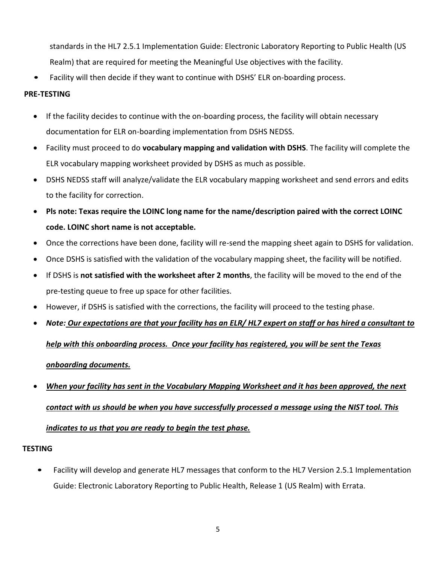standards in the HL7 2.5.1 Implementation Guide: Electronic Laboratory Reporting to Public Health (US Realm) that are required for meeting the Meaningful Use objectives with the facility.

Facility will then decide if they want to continue with DSHS' ELR on-boarding process.

#### **PRE-TESTING**

- If the facility decides to continue with the on-boarding process, the facility will obtain necessary documentation for ELR on-boarding implementation from DSHS NEDSS.
- Facility must proceed to do **vocabulary mapping and validation with DSHS**. The facility will complete the ELR vocabulary mapping worksheet provided by DSHS as much as possible.
- DSHS NEDSS staff will analyze/validate the ELR vocabulary mapping worksheet and send errors and edits to the facility for correction.
- **Pls note: Texas require the LOINC long name for the name/description paired with the correct LOINC code. LOINC short name is not acceptable.**
- Once the corrections have been done, facility will re-send the mapping sheet again to DSHS for validation.
- Once DSHS is satisfied with the validation of the vocabulary mapping sheet, the facility will be notified.
- If DSHS is **not satisfied with the worksheet after 2 months**, the facility will be moved to the end of the pre-testing queue to free up space for other facilities.
- However, if DSHS is satisfied with the corrections, the facility will proceed to the testing phase.
- *Note: Our expectations are that your facility has an ELR/ HL7 expert on staff or has hired a consultant to*

### *help with this onboarding process. Once your facility has registered, you will be sent the Texas*

### *onboarding documents.*

 *When your facility has sent in the Vocabulary Mapping Worksheet and it has been approved, the next contact with us should be when you have successfully processed a message using the NIST tool. This indicates to us that you are ready to begin the test phase.*

#### **TESTING**

• Facility will develop and generate HL7 messages that conform to the HL7 Version 2.5.1 Implementation Guide: Electronic Laboratory Reporting to Public Health, Release 1 (US Realm) with Errata.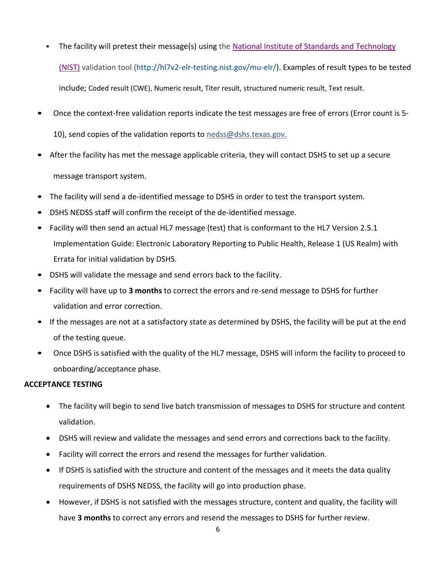- The facility will pretest their message(s) using the National Institute of Standards and [Technology](http://hl7v2-elr-testing.nist.gov/mu-elr/) [\(NIST\)](http://hl7v2-elr-testing.nist.gov/mu-elr/) validation tool [\(http://hl7v2-elr-testing.nist.gov/mu-elr/\)](http://hl7v2-elr-testing.nist.gov/mu-elr/). Examples of result types to be tested include; Coded result (CWE), Numeric result, Titer result, structured numeric result, Text result.
- Once the context-free validation reports indicate the test messages are free of errors (Error count is 5 10), send copies of the validation reports to [nedss@dshs.texas.gov.](mailto:nedss@dshs.texas.gov)
- After the facility has met the message applicable criteria, they will contact DSHS to set up a secure message transport system.
- The facility will send a de-identified message to DSHS in order to test the transport system.
- DSHS NEDSS staff will confirm the receipt of the de-identified message.
- Facility will then send an actual HL7 message (test) that is conformant to the HL7 Version 2.5.1 Implementation Guide: Electronic Laboratory Reporting to Public Health, Release 1 (US Realm) with Errata for initial validation by DSHS.
- DSHS will validate the message and send errors back to the facility.
- Facility will have up to **3 months** to correct the errors and re-send message to DSHS for further validation and error correction.
- If the messages are not at a satisfactory state as determined by DSHS, the facility will be put at the end of the testing queue.
- Once DSHS is satisfied with the quality of the HL7 message, DSHS will inform the facility to proceed to onboarding/acceptance phase.

#### **ACCEPTANCE TESTING**

- The facility will begin to send live batch transmission of messages to DSHS for structure and content validation.
- DSHS will review and validate the messages and send errors and corrections back to the facility.
- Facility will correct the errors and resend the messages for further validation.
- If DSHS is satisfied with the structure and content of the messages and it meets the data quality requirements of DSHS NEDSS, the facility will go into production phase.
- However, if DSHS is not satisfied with the messages structure, content and quality, the facility will have **3 months** to correct any errors and resend the messages to DSHS for further review.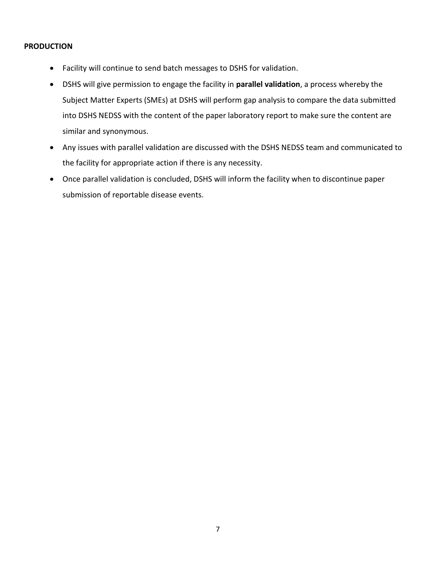#### **PRODUCTION**

- Facility will continue to send batch messages to DSHS for validation.
- DSHS will give permission to engage the facility in **parallel validation**, a process whereby the Subject Matter Experts (SMEs) at DSHS will perform gap analysis to compare the data submitted into DSHS NEDSS with the content of the paper laboratory report to make sure the content are similar and synonymous.
- Any issues with parallel validation are discussed with the DSHS NEDSS team and communicated to the facility for appropriate action if there is any necessity.
- Once parallel validation is concluded, DSHS will inform the facility when to discontinue paper submission of reportable disease events.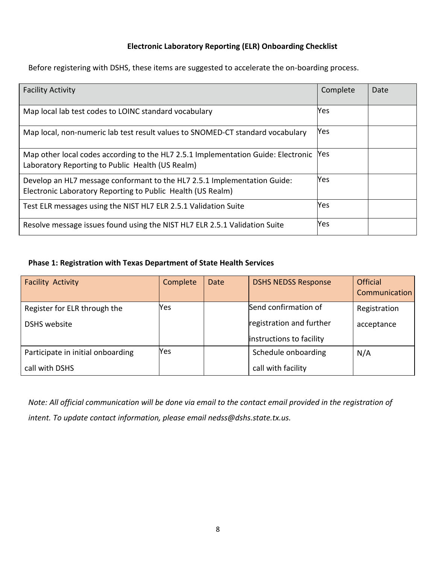#### **Electronic Laboratory Reporting (ELR) Onboarding Checklist**

Before registering with DSHS, these items are suggested to accelerate the on-boarding process.

| <b>Facility Activity</b>                                                                                                                | Complete | Date |
|-----------------------------------------------------------------------------------------------------------------------------------------|----------|------|
| Map local lab test codes to LOINC standard vocabulary                                                                                   | Yes      |      |
| Map local, non-numeric lab test result values to SNOMED-CT standard vocabulary                                                          | Yes      |      |
| Map other local codes according to the HL7 2.5.1 Implementation Guide: Electronic<br>Laboratory Reporting to Public Health (US Realm)   | Yes.     |      |
| Develop an HL7 message conformant to the HL7 2.5.1 Implementation Guide:<br>Electronic Laboratory Reporting to Public Health (US Realm) | Yes      |      |
| Test ELR messages using the NIST HL7 ELR 2.5.1 Validation Suite                                                                         | Yes      |      |
| Resolve message issues found using the NIST HL7 ELR 2.5.1 Validation Suite                                                              | Yes      |      |

#### **Phase 1: Registration with Texas Department of State Health Services**

| <b>Facility Activity</b>          | Complete | <b>Date</b> | <b>DSHS NEDSS Response</b> | <b>Official</b>      |
|-----------------------------------|----------|-------------|----------------------------|----------------------|
|                                   |          |             |                            | <b>Communication</b> |
| Register for ELR through the      | Yes      |             | Send confirmation of       | Registration         |
| <b>DSHS</b> website               |          |             | registration and further   | acceptance           |
|                                   |          |             | instructions to facility   |                      |
| Participate in initial onboarding | Yes      |             | Schedule onboarding        | N/A                  |
| call with DSHS                    |          |             | call with facility         |                      |

*Note: All official communication will be done via email to the contact email provided in the registration of intent. To update contact information, please email nedss@dshs.state.tx.us.*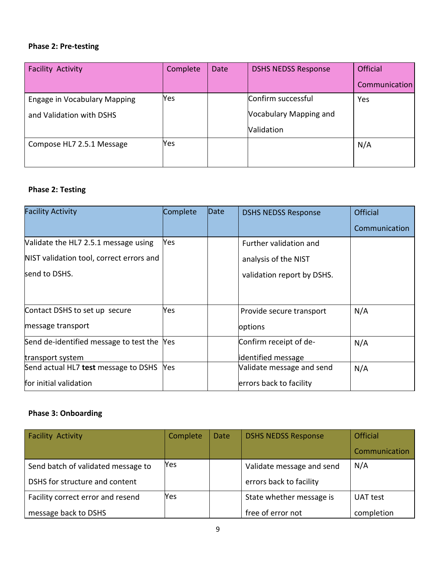#### **Phase 2: Pre-testing**

| <b>Facility Activity</b>     | Complete | Date | <b>DSHS NEDSS Response</b> | <b>Official</b> |
|------------------------------|----------|------|----------------------------|-----------------|
|                              |          |      |                            | Communication   |
| Engage in Vocabulary Mapping | Yes      |      | Confirm successful         | Yes             |
| and Validation with DSHS     |          |      | Vocabulary Mapping and     |                 |
|                              |          |      | Validation                 |                 |
| Compose HL7 2.5.1 Message    | Yes      |      |                            | N/A             |
|                              |          |      |                            |                 |

# **Phase 2: Testing**

| <b>Facility Activity</b>                 | Complete | Date | <b>DSHS NEDSS Response</b> | <b>Official</b> |
|------------------------------------------|----------|------|----------------------------|-----------------|
|                                          |          |      |                            | Communication   |
| Validate the HL7 2.5.1 message using     | Yes      |      | Further validation and     |                 |
| NIST validation tool, correct errors and |          |      | analysis of the NIST       |                 |
| send to DSHS.                            |          |      | validation report by DSHS. |                 |
|                                          |          |      |                            |                 |
| Contact DSHS to set up secure            | Yes      |      | Provide secure transport   | N/A             |
| message transport                        |          |      | options                    |                 |
| Send de-identified message to test the   | Yes      |      | Confirm receipt of de-     | N/A             |
| transport system                         |          |      | identified message         |                 |
| Send actual HL7 test message to DSHS     | Yes      |      | Validate message and send  | N/A             |
| for initial validation                   |          |      | errors back to facility    |                 |

# **Phase 3: Onboarding**

| <b>Facility Activity</b>           | Complete | Date | <b>DSHS NEDSS Response</b> | <b>Official</b> |
|------------------------------------|----------|------|----------------------------|-----------------|
|                                    |          |      |                            | Communication   |
| Send batch of validated message to | Yes      |      | Validate message and send  | N/A             |
| DSHS for structure and content     |          |      | errors back to facility    |                 |
| Facility correct error and resend  | Yes      |      | State whether message is   | UAT test        |
| message back to DSHS               |          |      | free of error not          | completion      |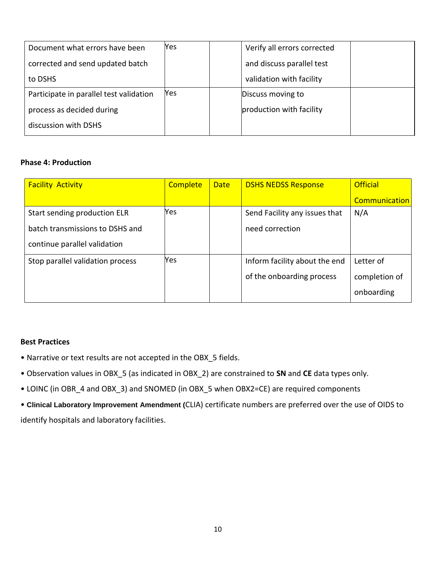| Document what errors have been          | Yes | Verify all errors corrected |  |
|-----------------------------------------|-----|-----------------------------|--|
| corrected and send updated batch        |     | and discuss parallel test   |  |
| to DSHS                                 |     | validation with facility    |  |
| Participate in parallel test validation | Yes | Discuss moving to           |  |
| process as decided during               |     | production with facility    |  |
| discussion with DSHS                    |     |                             |  |

#### **Phase 4: Production**

| <b>Facility Activity</b>         | <b>Complete</b> | <b>Date</b> | <b>DSHS NEDSS Response</b>    | <b>Official</b> |
|----------------------------------|-----------------|-------------|-------------------------------|-----------------|
|                                  |                 |             |                               | Communication   |
| Start sending production ELR     | Yes             |             | Send Facility any issues that | N/A             |
| batch transmissions to DSHS and  |                 |             | need correction               |                 |
| continue parallel validation     |                 |             |                               |                 |
| Stop parallel validation process | Yes             |             | Inform facility about the end | Letter of       |
|                                  |                 |             | of the onboarding process     | completion of   |
|                                  |                 |             |                               | onboarding      |

#### **Best Practices**

- Narrative or text results are not accepted in the OBX\_5 fields.
- Observation values in OBX\_5 (as indicated in OBX\_2) are constrained to **SN** and **CE** data types only.
- LOINC (in OBR\_4 and OBX\_3) and SNOMED (in OBX\_5 when OBX2=CE) are required components

• **Clinical Laboratory Improvement Amendment (**CLIA) certificate numbers are preferred over the use of OIDS to identify hospitals and laboratory facilities.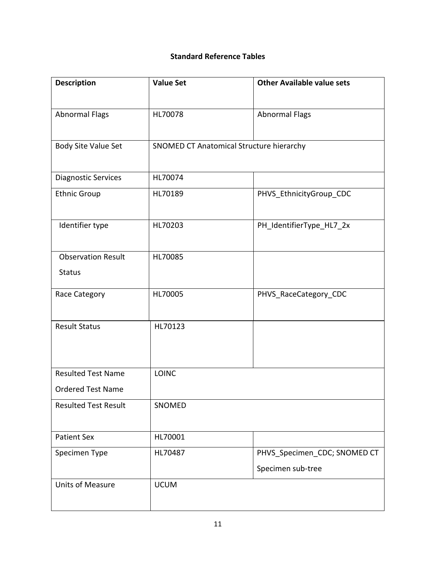## **Standard Reference Tables**

| <b>Description</b>          | <b>Value Set</b>                         | <b>Other Available value sets</b> |
|-----------------------------|------------------------------------------|-----------------------------------|
|                             |                                          |                                   |
| <b>Abnormal Flags</b>       | HL70078                                  | <b>Abnormal Flags</b>             |
|                             |                                          |                                   |
| Body Site Value Set         | SNOMED CT Anatomical Structure hierarchy |                                   |
|                             |                                          |                                   |
| <b>Diagnostic Services</b>  | HL70074                                  |                                   |
| <b>Ethnic Group</b>         | HL70189                                  | PHVS_EthnicityGroup_CDC           |
|                             |                                          |                                   |
| Identifier type             | HL70203                                  | PH_IdentifierType_HL7_2x          |
|                             |                                          |                                   |
| <b>Observation Result</b>   | HL70085                                  |                                   |
| <b>Status</b>               |                                          |                                   |
| Race Category               | HL70005                                  | PHVS_RaceCategory_CDC             |
|                             |                                          |                                   |
| <b>Result Status</b>        | HL70123                                  |                                   |
|                             |                                          |                                   |
|                             |                                          |                                   |
| <b>Resulted Test Name</b>   | <b>LOINC</b>                             |                                   |
| <b>Ordered Test Name</b>    |                                          |                                   |
| <b>Resulted Test Result</b> | SNOMED                                   |                                   |
|                             |                                          |                                   |
| <b>Patient Sex</b>          | HL70001                                  |                                   |
| Specimen Type               | HL70487                                  | PHVS_Specimen_CDC; SNOMED CT      |
|                             |                                          | Specimen sub-tree                 |
| <b>Units of Measure</b>     | <b>UCUM</b>                              |                                   |
|                             |                                          |                                   |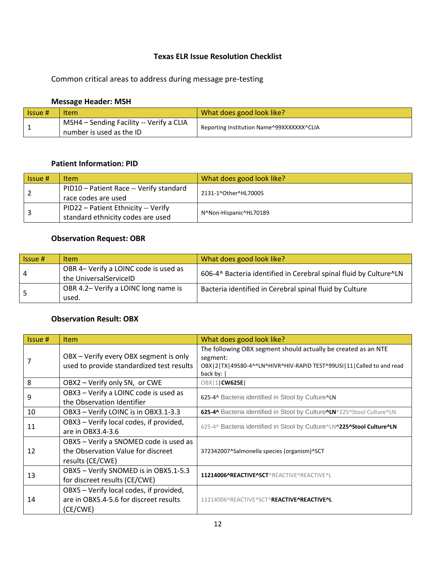#### **Texas ELR Issue Resolution Checklist**

Common critical areas to address during message pre-testing

#### **Message Header: MSH**

| l Issue # | Item                                                                 | What does good look like?                 |
|-----------|----------------------------------------------------------------------|-------------------------------------------|
|           | MSH4 - Sending Facility -- Verify a CLIA<br>number is used as the ID | Reporting Institution Name^99XXXXXXX^CLIA |

#### **Patient Information: PID**

| Is sue# | <b>Item</b>                             | What does good look like? |  |
|---------|-----------------------------------------|---------------------------|--|
|         | PID10 - Patient Race -- Verify standard | 2131-1^Other^HL70005      |  |
|         | race codes are used                     |                           |  |
|         | PID22 - Patient Ethnicity -- Verify     | N^Non-Hispanic^HL70189    |  |
|         | standard ethnicity codes are used       |                           |  |

#### **Observation Request: OBR**

| $Is sue$ #     | <b>Item</b>                                                     | What does good look like?                                         |
|----------------|-----------------------------------------------------------------|-------------------------------------------------------------------|
| $\overline{4}$ | OBR 4- Verify a LOINC code is used as<br>the UniversalServiceID | 606-4^ Bacteria identified in Cerebral spinal fluid by Culture^LN |
|                | OBR 4.2- Verify a LOINC long name is<br>used.                   | Bacteria identified in Cerebral spinal fluid by Culture           |

#### **Observation Result: OBX**

| Issue # | <b>Item</b>                                                                                      | What does good look like?                                                                                                                                                    |
|---------|--------------------------------------------------------------------------------------------------|------------------------------------------------------------------------------------------------------------------------------------------------------------------------------|
|         | OBX - Verify every OBX segment is only<br>used to provide standardized test results              | The following OBX segment should actually be created as an NTE<br>segment:<br>OBX   2   TX   49580-4^^LN^HIVR^HIV-RAPID TEST^99USI   11   Called to and read<br>back by: $ $ |
| 8       | OBX2 - Verify only SN, or CWE                                                                    | OBX   1   CW625E                                                                                                                                                             |
| 9       | OBX3 - Verify a LOINC code is used as<br>the Observation Identifier                              | 625-4^ Bacteria identified in Stool by Culture^LN                                                                                                                            |
| 10      | OBX3 - Verify LOINC is in OBX3.1-3.3                                                             | 625-4^ Bacteria identified in Stool by Culture^LN^225^Stool Culture^LN                                                                                                       |
| 11      | OBX3 - Verify local codes, if provided,<br>are in OBX3.4-3.6                                     | 625-4^ Bacteria identified in Stool by Culture^LN^225^Stool Culture^LN                                                                                                       |
| 12      | OBX5 - Verify a SNOMED code is used as<br>the Observation Value for discreet<br>results (CE/CWE) | 372342007^Salmonella species (organism)^SCT                                                                                                                                  |
| 13      | OBX5 - Verify SNOMED is in OBX5.1-5.3<br>for discreet results (CE/CWE)                           | 11214006^REACTIVE^SCT^REACTIVE^REACTIVE^L                                                                                                                                    |
| 14      | OBX5 - Verify local codes, if provided,<br>are in OBX5.4-5.6 for discreet results<br>(CE/CWE)    | 11214006^REACTIVE^SCT^REACTIVE^REACTIVE^L                                                                                                                                    |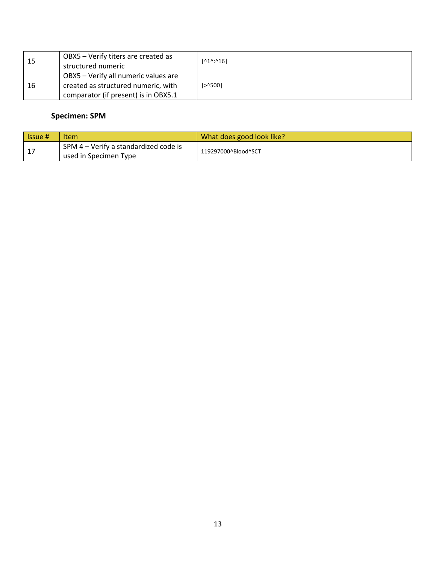| 15 | OBX5 - Verify titers are created as<br>structured numeric                                                           | $ ^01$ <sup>*</sup> : <sup>^16</sup> |
|----|---------------------------------------------------------------------------------------------------------------------|--------------------------------------|
| 16 | OBX5 - Verify all numeric values are<br>created as structured numeric, with<br>comparator (if present) is in OBX5.1 | $>$ 1500                             |

#### **Specimen: SPM**

| l Issue # | <b>Item</b>                                                    | What does good look like? |
|-----------|----------------------------------------------------------------|---------------------------|
|           | SPM 4 – Verify a standardized code is<br>used in Specimen Type | 119297000^Blood^SCT       |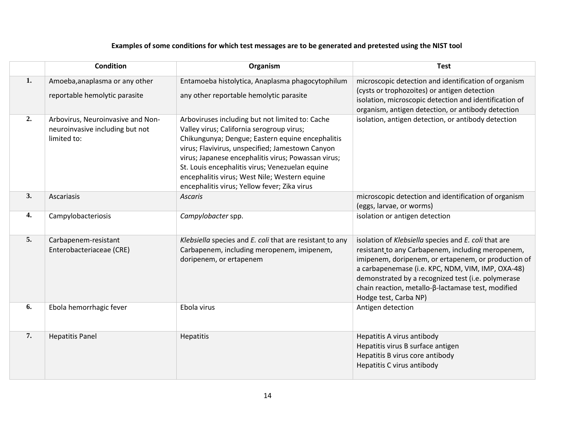## **Examples of some conditions for which test messages are to be generated and pretested using the NIST tool**

|    | <b>Condition</b>                                                                    | Organism                                                                                                                                                                                                                                                                                                                                                                                                        | <b>Test</b>                                                                                                                                                                                                                                                                                                                                                |
|----|-------------------------------------------------------------------------------------|-----------------------------------------------------------------------------------------------------------------------------------------------------------------------------------------------------------------------------------------------------------------------------------------------------------------------------------------------------------------------------------------------------------------|------------------------------------------------------------------------------------------------------------------------------------------------------------------------------------------------------------------------------------------------------------------------------------------------------------------------------------------------------------|
| 1. | Amoeba, anaplasma or any other<br>reportable hemolytic parasite                     | Entamoeba histolytica, Anaplasma phagocytophilum<br>any other reportable hemolytic parasite                                                                                                                                                                                                                                                                                                                     | microscopic detection and identification of organism<br>(cysts or trophozoites) or antigen detection<br>isolation, microscopic detection and identification of<br>organism, antigen detection, or antibody detection                                                                                                                                       |
| 2. | Arbovirus, Neuroinvasive and Non-<br>neuroinvasive including but not<br>limited to: | Arboviruses including but not limited to: Cache<br>Valley virus; California serogroup virus;<br>Chikungunya; Dengue; Eastern equine encephalitis<br>virus; Flavivirus, unspecified; Jamestown Canyon<br>virus; Japanese encephalitis virus; Powassan virus;<br>St. Louis encephalitis virus; Venezuelan equine<br>encephalitis virus; West Nile; Western equine<br>encephalitis virus; Yellow fever; Zika virus | isolation, antigen detection, or antibody detection                                                                                                                                                                                                                                                                                                        |
| 3. | Ascariasis                                                                          | <b>Ascaris</b>                                                                                                                                                                                                                                                                                                                                                                                                  | microscopic detection and identification of organism<br>(eggs, larvae, or worms)                                                                                                                                                                                                                                                                           |
| 4. | Campylobacteriosis                                                                  | Campylobacter spp.                                                                                                                                                                                                                                                                                                                                                                                              | isolation or antigen detection                                                                                                                                                                                                                                                                                                                             |
| 5. | Carbapenem-resistant<br>Enterobacteriaceae (CRE)                                    | Klebsiella species and E. coli that are resistant to any<br>Carbapenem, including meropenem, imipenem,<br>doripenem, or ertapenem                                                                                                                                                                                                                                                                               | isolation of Klebsiella species and E. coli that are<br>resistant to any Carbapenem, including meropenem,<br>imipenem, doripenem, or ertapenem, or production of<br>a carbapenemase (i.e. KPC, NDM, VIM, IMP, OXA-48)<br>demonstrated by a recognized test (i.e. polymerase<br>chain reaction, metallo-β-lactamase test, modified<br>Hodge test, Carba NP) |
| 6. | Ebola hemorrhagic fever                                                             | Ebola virus                                                                                                                                                                                                                                                                                                                                                                                                     | Antigen detection                                                                                                                                                                                                                                                                                                                                          |
| 7. | <b>Hepatitis Panel</b>                                                              | Hepatitis                                                                                                                                                                                                                                                                                                                                                                                                       | Hepatitis A virus antibody<br>Hepatitis virus B surface antigen<br>Hepatitis B virus core antibody<br>Hepatitis C virus antibody                                                                                                                                                                                                                           |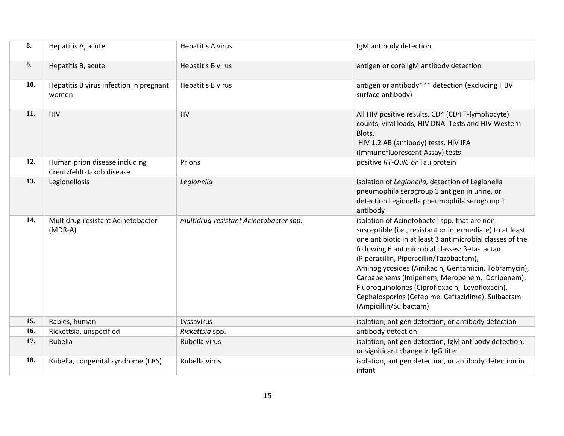| 8.  | Hepatitis A, acute                                         | <b>Hepatitis A virus</b>               | IgM antibody detection                                                                                                                                                                                                                                                                                                                                                                                                                                                                                          |
|-----|------------------------------------------------------------|----------------------------------------|-----------------------------------------------------------------------------------------------------------------------------------------------------------------------------------------------------------------------------------------------------------------------------------------------------------------------------------------------------------------------------------------------------------------------------------------------------------------------------------------------------------------|
| 9.  | Hepatitis B, acute                                         | <b>Hepatitis B virus</b>               | antigen or core IgM antibody detection                                                                                                                                                                                                                                                                                                                                                                                                                                                                          |
| 10. | Hepatitis B virus infection in pregnant<br>women           | <b>Hepatitis B virus</b>               | antigen or antibody*** detection (excluding HBV<br>surface antibody)                                                                                                                                                                                                                                                                                                                                                                                                                                            |
| 11. | HIV                                                        | HV                                     | All HIV positive results, CD4 (CD4 T-lymphocyte)<br>counts, viral loads, HIV DNA Tests and HIV Western<br>Blots,<br>HIV 1,2 AB (antibody) tests, HIV IFA<br>(Immunofluorescent Assay) tests                                                                                                                                                                                                                                                                                                                     |
| 12. | Human prion disease including<br>Creutzfeldt-Jakob disease | Prions                                 | positive RT-QuIC or Tau protein                                                                                                                                                                                                                                                                                                                                                                                                                                                                                 |
| 13. | Legionellosis                                              | Legionella                             | isolation of Legionella, detection of Legionella<br>pneumophila serogroup 1 antigen in urine, or<br>detection Legionella pneumophila serogroup 1<br>antibody                                                                                                                                                                                                                                                                                                                                                    |
| 14. | Multidrug-resistant Acinetobacter<br>(MDR-A)               | multidrug-resistant Acinetobacter spp. | isolation of Acinetobacter spp. that are non-<br>susceptible (i.e., resistant or intermediate) to at least<br>one antibiotic in at least 3 antimicrobial classes of the<br>following 6 antimicrobial classes: βeta-Lactam<br>(Piperacillin, Piperacillin/Tazobactam),<br>Aminoglycosides (Amikacin, Gentamicin, Tobramycin),<br>Carbapenems (Imipenem, Meropenem, Doripenem),<br>Fluoroquinolones (Ciprofloxacin, Levofloxacin),<br>Cephalosporins (Cefepime, Ceftazidime), Sulbactam<br>(Ampicillin/Sulbactam) |
| 15. | Rabies, human                                              | Lyssavirus                             | isolation, antigen detection, or antibody detection                                                                                                                                                                                                                                                                                                                                                                                                                                                             |
| 16. | Rickettsia, unspecified                                    | Rickettsia spp.                        | antibody detection                                                                                                                                                                                                                                                                                                                                                                                                                                                                                              |
| 17. | Rubella                                                    | Rubella virus                          | isolation, antigen detection, IgM antibody detection,<br>or significant change in IgG titer                                                                                                                                                                                                                                                                                                                                                                                                                     |
| 18. | Rubella, congenital syndrome (CRS)                         | Rubella virus                          | isolation, antigen detection, or antibody detection in<br>infant                                                                                                                                                                                                                                                                                                                                                                                                                                                |